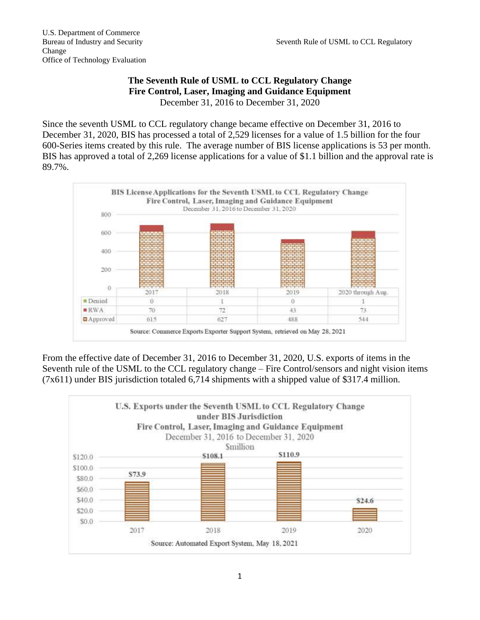## **The Seventh Rule of USML to CCL Regulatory Change Fire Control, Laser, Imaging and Guidance Equipment** December 31, 2016 to December 31, 2020

Since the seventh USML to CCL regulatory change became effective on December 31, 2016 to December 31, 2020, BIS has processed a total of 2,529 licenses for a value of 1.5 billion for the four 600-Series items created by this rule. The average number of BIS license applications is 53 per month. BIS has approved a total of 2,269 license applications for a value of \$1.1 billion and the approval rate is 89.7%.



From the effective date of December 31, 2016 to December 31, 2020, U.S. exports of items in the Seventh rule of the USML to the CCL regulatory change – Fire Control/sensors and night vision items (7x611) under BIS jurisdiction totaled 6,714 shipments with a shipped value of \$317.4 million.

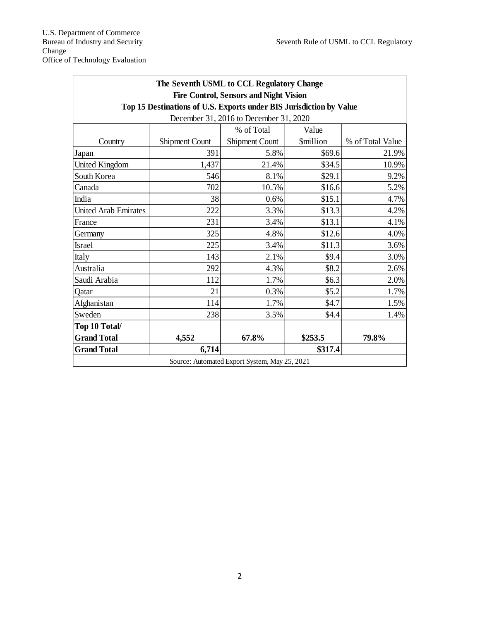| The Seventh USML to CCL Regulatory Change<br><b>Fire Control, Sensors and Night Vision</b> |                       |                       |                         |                  |
|--------------------------------------------------------------------------------------------|-----------------------|-----------------------|-------------------------|------------------|
| Top 15 Destinations of U.S. Exports under BIS Jurisdiction by Value                        |                       |                       |                         |                  |
| December 31, 2016 to December 31, 2020                                                     |                       |                       |                         |                  |
|                                                                                            |                       | % of Total            | Value                   |                  |
| Country                                                                                    | <b>Shipment Count</b> | <b>Shipment Count</b> | <i><b>\$million</b></i> | % of Total Value |
| Japan                                                                                      | 391                   | 5.8%                  | \$69.6                  | 21.9%            |
| <b>United Kingdom</b>                                                                      | 1,437                 | 21.4%                 | \$34.5                  | 10.9%            |
| South Korea                                                                                | 546                   | 8.1%                  | \$29.1                  | 9.2%             |
| Canada                                                                                     | 702                   | 10.5%                 | \$16.6                  | 5.2%             |
| India                                                                                      | 38                    | 0.6%                  | \$15.1                  | 4.7%             |
| <b>United Arab Emirates</b>                                                                | 222                   | 3.3%                  | \$13.3                  | 4.2%             |
| France                                                                                     | 231                   | 3.4%                  | \$13.1                  | 4.1%             |
| Germany                                                                                    | 325                   | 4.8%                  | \$12.6                  | 4.0%             |
| Israel                                                                                     | 225                   | 3.4%                  | \$11.3                  | 3.6%             |
| Italy                                                                                      | 143                   | 2.1%                  | \$9.4                   | 3.0%             |
| Australia                                                                                  | 292                   | 4.3%                  | \$8.2                   | 2.6%             |
| Saudi Arabia                                                                               | 112                   | 1.7%                  | \$6.3                   | 2.0%             |
| Qatar                                                                                      | 21                    | 0.3%                  | \$5.2                   | 1.7%             |
| Afghanistan                                                                                | 114                   | 1.7%                  | \$4.7                   | 1.5%             |
| Sweden                                                                                     | 238                   | 3.5%                  | \$4.4                   | 1.4%             |
| Top 10 Total/                                                                              |                       |                       |                         |                  |
| <b>Grand Total</b>                                                                         | 4,552                 | 67.8%                 | \$253.5                 | 79.8%            |
| <b>Grand Total</b>                                                                         | 6,714                 |                       | \$317.4                 |                  |
| Source: Automated Export System, May 25, 2021                                              |                       |                       |                         |                  |

Office of Technology Evaluation